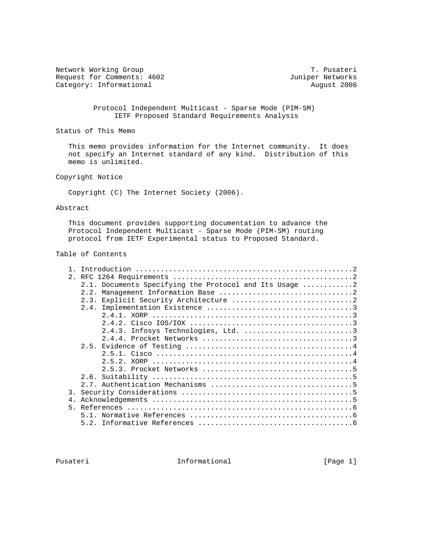Network Working Group T. Pusateri Request for Comments: 4602 Juniper Networks<br>
Category: Informational August 2006 Category: Informational

 Protocol Independent Multicast - Sparse Mode (PIM-SM) IETF Proposed Standard Requirements Analysis

Status of This Memo

 This memo provides information for the Internet community. It does not specify an Internet standard of any kind. Distribution of this memo is unlimited.

Copyright Notice

Copyright (C) The Internet Society (2006).

#### Abstract

 This document provides supporting documentation to advance the Protocol Independent Multicast - Sparse Mode (PIM-SM) routing protocol from IETF Experimental status to Proposed Standard.

### Table of Contents

|    | 2.1. Documents Specifying the Protocol and Its Usage 2 |
|----|--------------------------------------------------------|
|    | 2.2.                                                   |
|    |                                                        |
|    |                                                        |
|    |                                                        |
|    |                                                        |
|    | 2.4.3. Infosys Technologies, Ltd. 3                    |
|    |                                                        |
|    |                                                        |
|    |                                                        |
|    |                                                        |
|    |                                                        |
|    |                                                        |
|    |                                                        |
| 3  |                                                        |
| 4. |                                                        |
|    |                                                        |
|    |                                                        |
|    |                                                        |
|    |                                                        |

Pusateri 10 Informational [Page 1]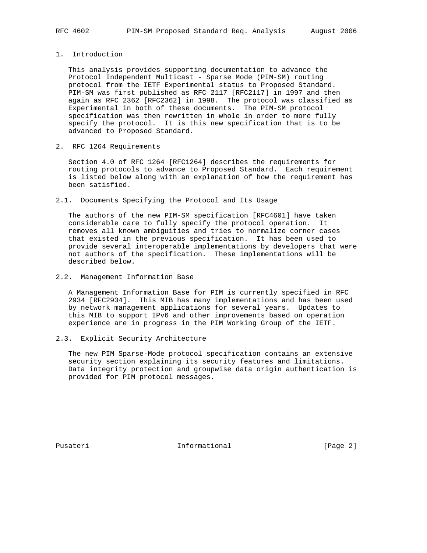## 1. Introduction

 This analysis provides supporting documentation to advance the Protocol Independent Multicast - Sparse Mode (PIM-SM) routing protocol from the IETF Experimental status to Proposed Standard. PIM-SM was first published as RFC 2117 [RFC2117] in 1997 and then again as RFC 2362 [RFC2362] in 1998. The protocol was classified as Experimental in both of these documents. The PIM-SM protocol specification was then rewritten in whole in order to more fully specify the protocol. It is this new specification that is to be advanced to Proposed Standard.

2. RFC 1264 Requirements

 Section 4.0 of RFC 1264 [RFC1264] describes the requirements for routing protocols to advance to Proposed Standard. Each requirement is listed below along with an explanation of how the requirement has been satisfied.

2.1. Documents Specifying the Protocol and Its Usage

 The authors of the new PIM-SM specification [RFC4601] have taken considerable care to fully specify the protocol operation. It removes all known ambiguities and tries to normalize corner cases that existed in the previous specification. It has been used to provide several interoperable implementations by developers that were not authors of the specification. These implementations will be described below.

2.2. Management Information Base

 A Management Information Base for PIM is currently specified in RFC 2934 [RFC2934]. This MIB has many implementations and has been used by network management applications for several years. Updates to this MIB to support IPv6 and other improvements based on operation experience are in progress in the PIM Working Group of the IETF.

2.3. Explicit Security Architecture

 The new PIM Sparse-Mode protocol specification contains an extensive security section explaining its security features and limitations. Data integrity protection and groupwise data origin authentication is provided for PIM protocol messages.

Pusateri 10 Informational [Page 2]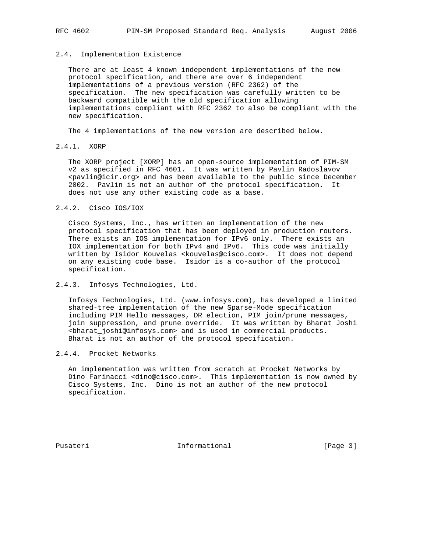#### 2.4. Implementation Existence

 There are at least 4 known independent implementations of the new protocol specification, and there are over 6 independent implementations of a previous version (RFC 2362) of the specification. The new specification was carefully written to be backward compatible with the old specification allowing implementations compliant with RFC 2362 to also be compliant with the new specification.

The 4 implementations of the new version are described below.

#### 2.4.1. XORP

 The XORP project [XORP] has an open-source implementation of PIM-SM v2 as specified in RFC 4601. It was written by Pavlin Radoslavov <pavlin@icir.org> and has been available to the public since December 2002. Pavlin is not an author of the protocol specification. It does not use any other existing code as a base.

### 2.4.2. Cisco IOS/IOX

 Cisco Systems, Inc., has written an implementation of the new protocol specification that has been deployed in production routers. There exists an IOS implementation for IPv6 only. There exists an IOX implementation for both IPv4 and IPv6. This code was initially written by Isidor Kouvelas <kouvelas@cisco.com>. It does not depend on any existing code base. Isidor is a co-author of the protocol specification.

### 2.4.3. Infosys Technologies, Ltd.

 Infosys Technologies, Ltd. (www.infosys.com), has developed a limited shared-tree implementation of the new Sparse-Mode specification including PIM Hello messages, DR election, PIM join/prune messages, join suppression, and prune override. It was written by Bharat Joshi <bharat\_joshi@infosys.com> and is used in commercial products. Bharat is not an author of the protocol specification.

#### 2.4.4. Procket Networks

 An implementation was written from scratch at Procket Networks by Dino Farinacci <dino@cisco.com>. This implementation is now owned by Cisco Systems, Inc. Dino is not an author of the new protocol specification.

Pusateri **Informational** [Page 3]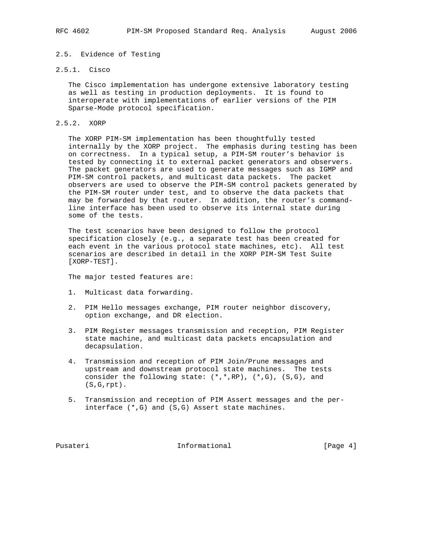## 2.5. Evidence of Testing

# 2.5.1. Cisco

 The Cisco implementation has undergone extensive laboratory testing as well as testing in production deployments. It is found to interoperate with implementations of earlier versions of the PIM Sparse-Mode protocol specification.

#### 2.5.2. XORP

 The XORP PIM-SM implementation has been thoughtfully tested internally by the XORP project. The emphasis during testing has been on correctness. In a typical setup, a PIM-SM router's behavior is tested by connecting it to external packet generators and observers. The packet generators are used to generate messages such as IGMP and PIM-SM control packets, and multicast data packets. The packet observers are used to observe the PIM-SM control packets generated by the PIM-SM router under test, and to observe the data packets that may be forwarded by that router. In addition, the router's command line interface has been used to observe its internal state during some of the tests.

 The test scenarios have been designed to follow the protocol specification closely (e.g., a separate test has been created for each event in the various protocol state machines, etc). All test scenarios are described in detail in the XORP PIM-SM Test Suite [XORP-TEST].

The major tested features are:

- 1. Multicast data forwarding.
- 2. PIM Hello messages exchange, PIM router neighbor discovery, option exchange, and DR election.
- 3. PIM Register messages transmission and reception, PIM Register state machine, and multicast data packets encapsulation and decapsulation.
- 4. Transmission and reception of PIM Join/Prune messages and upstream and downstream protocol state machines. The tests consider the following state: (\*,\*,RP), (\*,G), (S,G), and (S,G,rpt).
- 5. Transmission and reception of PIM Assert messages and the per interface (\*,G) and (S,G) Assert state machines.

Pusateri 10 Informational [Page 4]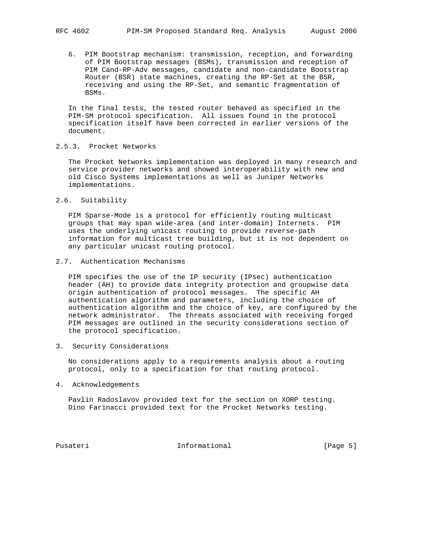6. PIM Bootstrap mechanism: transmission, reception, and forwarding of PIM Bootstrap messages (BSMs), transmission and reception of PIM Cand-RP-Adv messages, candidate and non-candidate Bootstrap Router (BSR) state machines, creating the RP-Set at the BSR, receiving and using the RP-Set, and semantic fragmentation of BSMs.

 In the final tests, the tested router behaved as specified in the PIM-SM protocol specification. All issues found in the protocol specification itself have been corrected in earlier versions of the document.

## 2.5.3. Procket Networks

 The Procket Networks implementation was deployed in many research and service provider networks and showed interoperability with new and old Cisco Systems implementations as well as Juniper Networks implementations.

2.6. Suitability

 PIM Sparse-Mode is a protocol for efficiently routing multicast groups that may span wide-area (and inter-domain) Internets. PIM uses the underlying unicast routing to provide reverse-path information for multicast tree building, but it is not dependent on any particular unicast routing protocol.

#### 2.7. Authentication Mechanisms

 PIM specifies the use of the IP security (IPsec) authentication header (AH) to provide data integrity protection and groupwise data origin authentication of protocol messages. The specific AH authentication algorithm and parameters, including the choice of authentication algorithm and the choice of key, are configured by the network administrator. The threats associated with receiving forged PIM messages are outlined in the security considerations section of the protocol specification.

3. Security Considerations

 No considerations apply to a requirements analysis about a routing protocol, only to a specification for that routing protocol.

4. Acknowledgements

 Pavlin Radoslavov provided text for the section on XORP testing. Dino Farinacci provided text for the Procket Networks testing.

Pusateri 10 Informational [Page 5]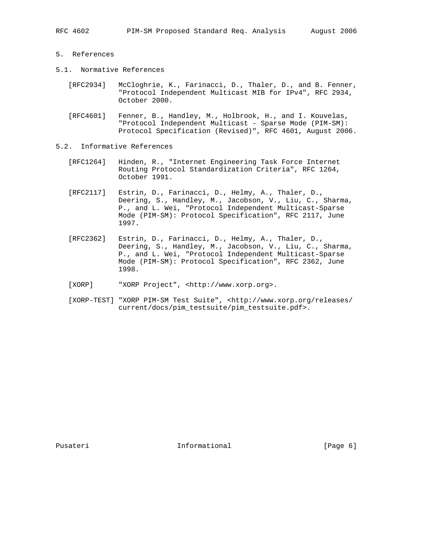- 5. References
- 5.1. Normative References
	- [RFC2934] McCloghrie, K., Farinacci, D., Thaler, D., and B. Fenner, "Protocol Independent Multicast MIB for IPv4", RFC 2934, October 2000.
	- [RFC4601] Fenner, B., Handley, M., Holbrook, H., and I. Kouvelas, "Protocol Independent Multicast - Sparse Mode (PIM-SM): Protocol Specification (Revised)", RFC 4601, August 2006.
- 5.2. Informative References
	- [RFC1264] Hinden, R., "Internet Engineering Task Force Internet Routing Protocol Standardization Criteria", RFC 1264, October 1991.
	- [RFC2117] Estrin, D., Farinacci, D., Helmy, A., Thaler, D., Deering, S., Handley, M., Jacobson, V., Liu, C., Sharma, P., and L. Wei, "Protocol Independent Multicast-Sparse Mode (PIM-SM): Protocol Specification", RFC 2117, June 1997.
- [RFC2362] Estrin, D., Farinacci, D., Helmy, A., Thaler, D., Deering, S., Handley, M., Jacobson, V., Liu, C., Sharma, P., and L. Wei, "Protocol Independent Multicast-Sparse Mode (PIM-SM): Protocol Specification", RFC 2362, June 1998.
	- [XORP] "XORP Project", <http://www.xorp.org>.
	- [XORP-TEST] "XORP PIM-SM Test Suite", <http://www.xorp.org/releases/ current/docs/pim\_testsuite/pim\_testsuite.pdf>.

Pusateri 10 Informational [Page 6]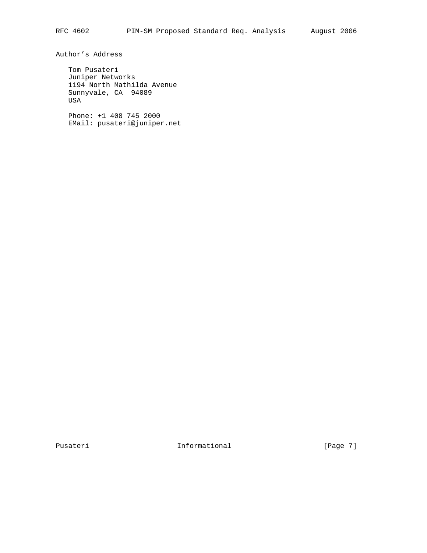Author's Address

 Tom Pusateri Juniper Networks 1194 North Mathilda Avenue Sunnyvale, CA 94089 USA

 Phone: +1 408 745 2000 EMail: pusateri@juniper.net

Pusateri **Informational** Pusateri [Page 7]